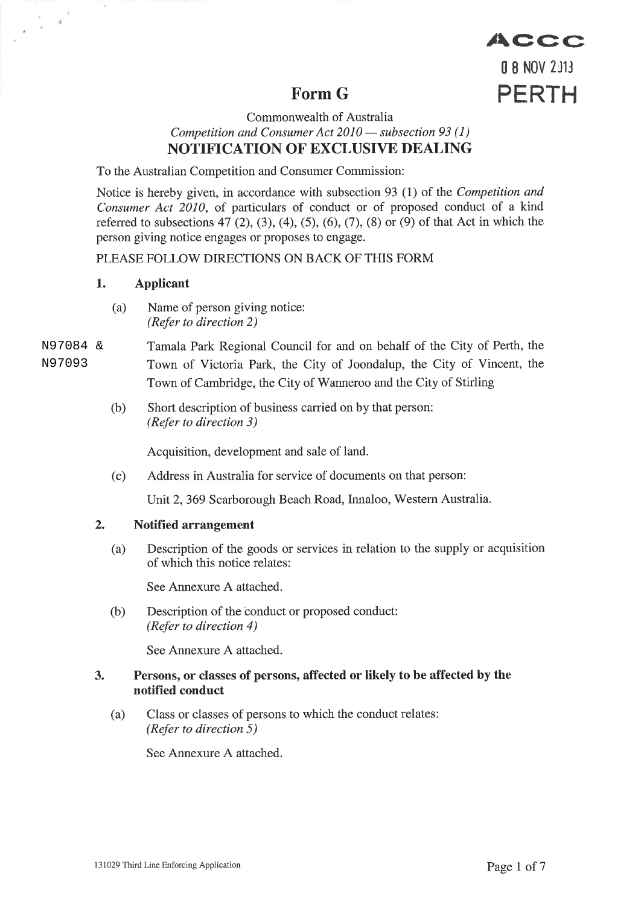# Form G

# 0 8 NOV 2J13 PERTH

/\Ccc

#### Commonwealth of Australia Competition and Consumer Act 2010 — subsection 93 (1)  $\frac{1}{\sqrt{1}}$ NOTIFICATION OF EXCLUSIVE DEALING

To the Australian Competition and Consumer Commission:

Notice is hereby given, in accordance with subsection 93 (1) of the Competition and Consumer Act 2010, of particulars of conduct or of proposed conduct of a kind referred to subsections 47 (2), (3), (4), (5), (6), (7), (8) or (9) of that Act in which the person giving notice engages or proposes to engage.

## PLEASE FOLLOW DIRECTIONS ON BACK OF THIS FORM

## 1,. Applicant

 $\chi$ 

 $\frac{1}{\sqrt{2}}$  ,  $\frac{1}{2}$ 

(a) Name of person giving notice: (Refer to direction 2)

#### Tamala Park Regional Council for and on behalf of the City of Perth, the Town of Victoria Park, the City of Joondalup, the City of Vincent, the Town of Cambridge, the City of Wanneroo and the City of Stirling N97084 & N97093

(b) Short description of business carried on by that person: (Refer to direction 3)

Acquisition, development and sale of land.

(c) Address in Australia for service of documents on that person:

Unit 2, 369 Scarborough Beach Road, Innaloo, Western Australia.

## 2. Notified arrangement

(a) Description of the goods or services in relation to the supply or acquisition of which this notice relates:

See Annexure A attached.

(b) Description of the conduct or proposed conduct: (Refer to directíon 4)

See Annexure A attached.

#### 3. Persons, or classes of persons, affected or likely to be affected by the notified conduct

(a) Class or classes of persons to which the conduct relates: (Refer to direction  $5$ )

See Annexure A attached.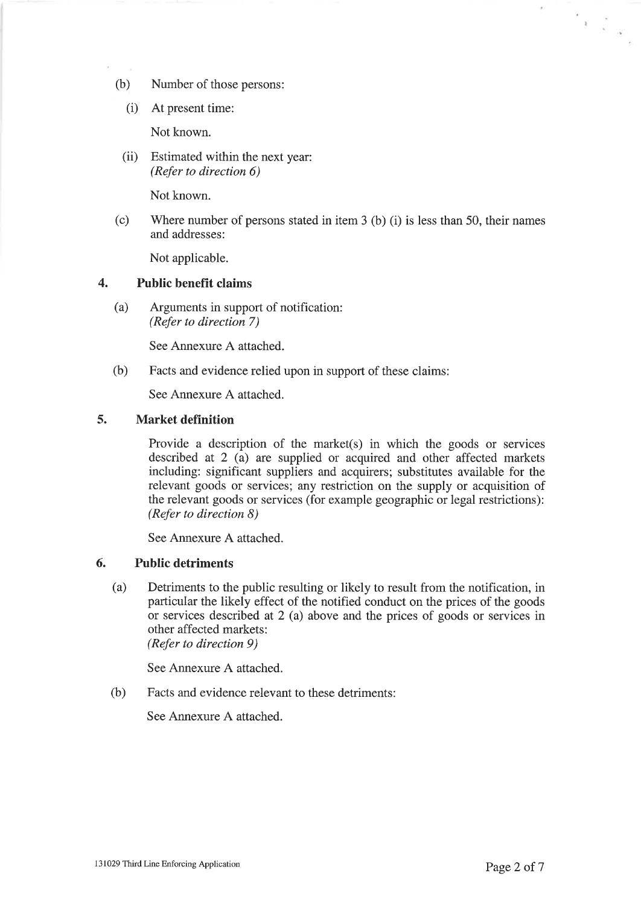- (b) Number of those persons:
	- (i) At present time:

Not known.

(ii) Estimated within the next year: (Refer to direction 6)

Not known.

(c) Where number of persons stated in item  $3$  (b) (i) is less than  $50$ , their names and addresses:

Not applicable.

#### 4. Public benefït claims

(a) Arguments in support of notification: (Refer to direction 7)

See Annexure A attached.

(b) Facts and evidence relied upon in support of these claims:

See Annexure A attached.

#### 5. Market definition

Provide a description of the market(s) in which the goods or services described at 2 (a) are supplied or acquired and other affected markets including: significant suppliers and acquirers; substitutes available for the relevant goods or services; any restriction on the supply or acquisition of the relevant goods or services (for example geographic or legal restrictions): (Refer to direction 8)

See Annexure A attached.

#### 6. Public detriments

(a) Detriments to the public resulting or likely to result from the notification, in particular the likely effect of the notified conduct on the prices of the goods or services described at 2 (a) above and the prices of goods or services in other affected markets: (Refer to direction 9)

See Annexure A attached.

(b) Facts and evidence relevant to these detriments:

See Annexure A attached.

 $\tilde{\mathcal{F}}$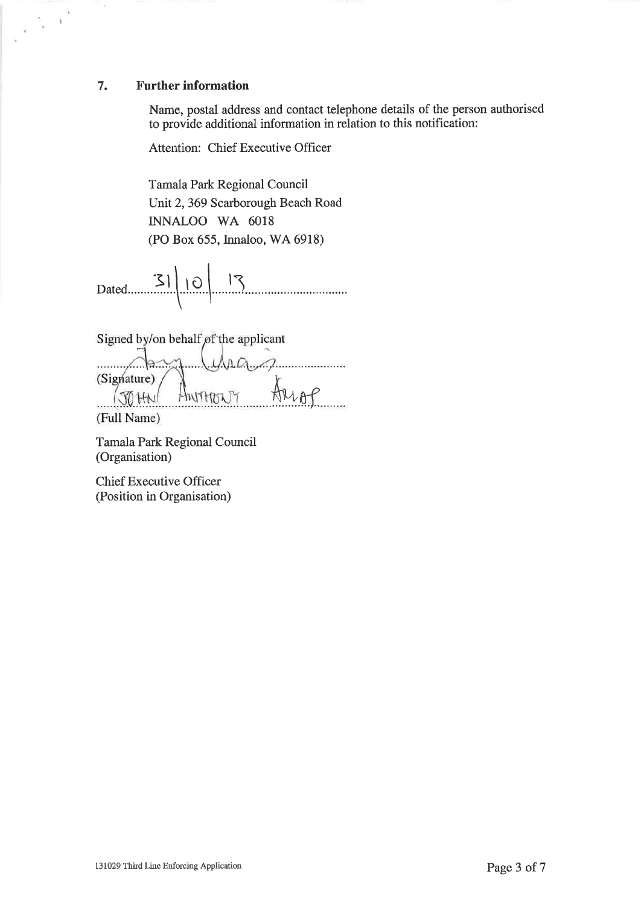#### 7. Further information

 $\frac{1}{2} - \frac{1}{2}$ 

Name, postal address and contact telephone details of the person authorised to provide additional information in relation to this notification:

Attention: Chief Executive Officer

Tamala Park Regional Council Unit2,369 Scarborough Beach Road INNALOO WA 6018 (PO Box 655, Innaloo,'WA 6918)

 $Dated$   $3|10|13$ 

Signed by/on behalf of the applicant

.WWW ..... (Signature) Arrop HNITHDA JO HN

(Full Name)

Tamala Park Regional Council (Organisation)

Chief Executive Officer (Position in Organisation)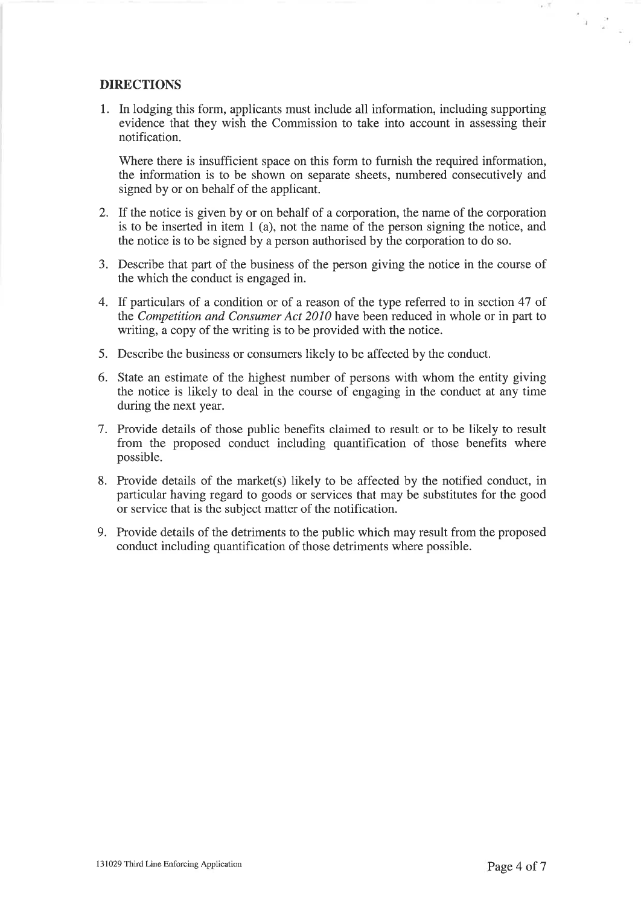#### DIRECTIONS

1. In lodging this form, applicants must include all information, including supporting evidence that they wish the Commission to take into account in assessing their notification.

Where there is insufficient space on this form to furnish the required information, the information is to be shown on separate sheets, numbered consecutively and signed by or on behalf of the applicant.

- 2. If the notice is given by or on behalf of a corporation, the name of the corporation is to be inserted in item 1 (a), not the name of the person signing the notice, and the notice is to be signed by a person authorised by the corporation to do so.
- 3. Describe that part of the business of the person giving the notice in the course of the which the conduct is engaged in.
- 4. If particulars of a condition or of a reason of the type referred to in section 47 of the Competítíon and Consumer Act 2010 have been reduced in whole or in part to writing, a copy of the writing is to be provided with the notice.
- 5. Describe the business or consumers likely to be affected by the conduct.
- 6. State an estimate of the highest number of persons with whom the entity giving the notice is likely to deal in the course of engaging in the conduct at any time during the next year.
- 7. Provide details of those public benefits claimed to result or to be likely to result from the proposed conduct including quantification of those benefits where possible.
- 8. Provide details of the market(s) likely to be affected by the notified conduct, in particular having regard to goods or services that may be substitutes for the good or service that is the subject matter of the notification.
- 9. Provide details of the detriments to the public which may result from the proposed conduct including quantification of those detriments where possible.

 $\infty$  .

 $\frac{e}{\left( \frac{e}{\varepsilon} - 1 \right)^{3}}$  .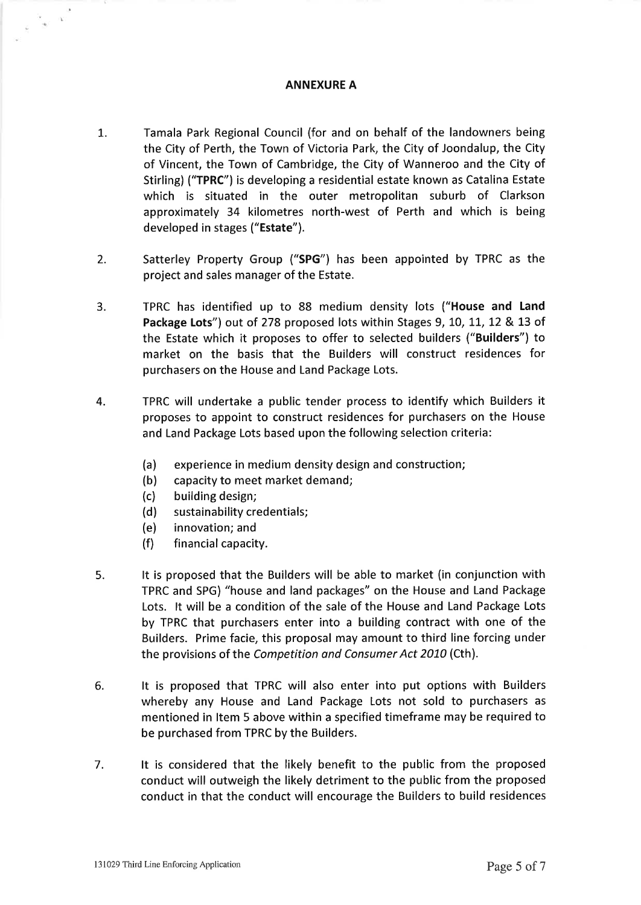#### ANNEXURE A

- t. Tamala Park Regional Council (for and on behalf of the landowners being the City of Perth, the Town of Victoria Park, the City of Joondalup, the City of Vincent, the Town of Cambridge, the City of Wanneroo and the City of Stirling) ('TPRC") is developing a residential estate known as Catalina Estate which is situated in the outer metropolitan suburb of Clarkson approximately 34 kilometres north-west of Perth and which is being developed in stages ("Estate").
- 2. Satterley Property Group ("SPG") has been appointed by TPRC as the project and sales manager of the Estate.
- TPRC has identified up to 88 medium density lots ("House and Land Package Lots") out of 278 proposed lots within Stages 9, 10, 11, 12 & 13 of the Estate which it proposes to offer to selected builders ("Builders") to market on the basis that the Builders will construct residences for purchasers on the House and Land Package Lots. 3.
- TPRC will undertake a public tender process to identify which Builders it proposes to appoint to construct residences for purchasers on the House and Land Package Lots based upon the following selection criteria: 4.
	- (a) experience in medium density design and construction;
	- (b) capacity to meet market demand;
	- (c) building design;

 $\frac{1}{2}$  .

- (d) sustainability credentials;
- (e) innovation; and
- (f) financial capacity.
- It is proposed that the Builders will be able to market (in conjunction with TPRC and SPG) "house and land packages" on the House and Land Package Lots. lt will be a condition of the sale of the House and Land Package Lots by TPRC that purchasers enter into a building contract with one of the Builders. Prime facie, this proposal may amount to third line forcing under the provisions of the Competition and Consumer Act 2010 (Cth). 5.
- It is proposed that TPRC will also enter into put options with Builders whereby any House and Land Package Lots not sold to purchasers as mentioned in ltem 5 above within a specified timeframe may be required to be purchased from TPRC by the Builders. 6.
- It is considered that the likely benefit to the public from the proposed conduct will outweigh the likely detriment to the public from the proposed conduct in that the conduct will encourage the Builders to build residences 7.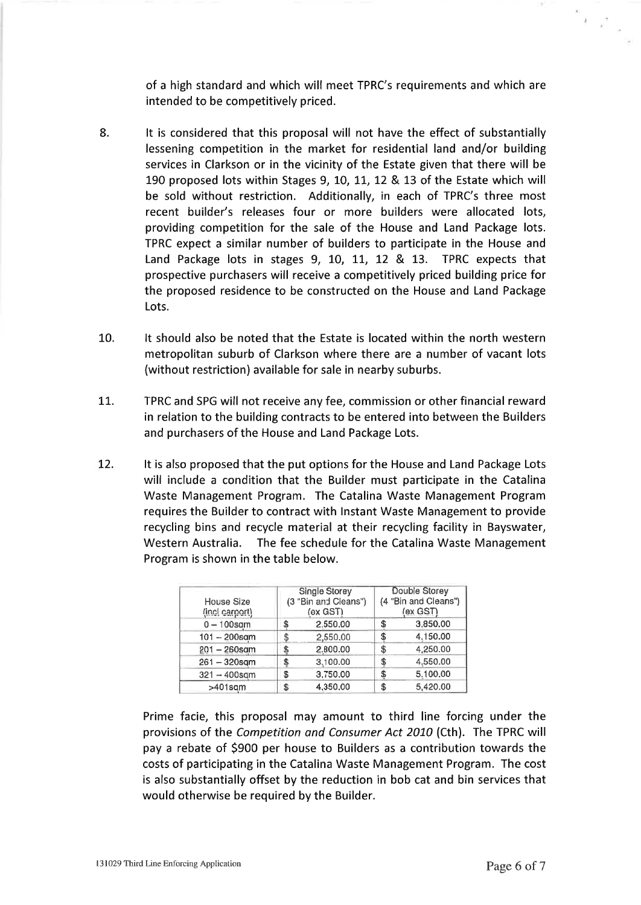of a high standard and which will meet TPRC's requirements and which are intended to be competitively priced.

- 8. It is considered that this proposal will not have the effect of substantially lessening competition in the market for residential land and/or building services in Clarkson or in the vicinity of the Estate given that there will be 190 proposed lots within Stages 9, 10, 11, 12 & 13 of the Estate which will be sold without restriction. Additionally, in each of TPRC's three most recent builder's releases four or more builders were allocated lots, providing competition for the sale of the House and Land Package lots. TPRC expect a similar number of builders to participate in the House and Land Package lots in stages 9, 10, 11, 12 & 13. TPRC expects that prospective purchasers will receive a competitively priced building price for the proposed residence to be constructed on the House and Land Package Lots.
- It should also be noted that the Estate is located within the north western metropolitan suburb of Clarkson where there are a number of vacant lots (without restriction) available for sale in nearby suburbs. 10.
- TPRC and SPG will not receive any fee, commission or other financial reward in relation to the building contracts to be entered into between the Builders and purchasers of the House and Land Package Lots. 17.
- It is also proposed that the put options for the House and Land Package Lots will include a condition that the Builder must participate in the Catalina Waste Management Program. The Catalina Waste Management Program requires the Builder to contract with lnstant Waste Management to provide recycling bins and recycle material at their recycling facility in Bayswater, Western Australia. The fee schedule for the Catalina Waste Management Program is shown in the table below. L2.

| House Size<br>(incl carport) | Single Storey<br>(3 "Bin and Cleans")<br>(ex GST) |          | Double Storey<br>(4 "Bin and Cleans")<br>(ex GST) |          |
|------------------------------|---------------------------------------------------|----------|---------------------------------------------------|----------|
| $0 - 100$ sam                | \$                                                | 2,550,00 |                                                   | 3,850,00 |
| $101 - 200$ sqm              |                                                   | 2,550.00 | \$                                                | 4.150.00 |
| $201 - 260$ sam              | \$                                                | 2,800.00 | \$                                                | 4,250.00 |
| $261 - 320$ sqm              | \$                                                | 3,100.00 | œ                                                 | 4.550.00 |
| $321 - 400$ sqm              | \$                                                | 3,750.00 | \$                                                | 5.100.00 |
| $>401$ sam                   | S                                                 | 4,350.00 | \$                                                | 5,420.00 |

Prime facie, this proposal may amount to third line forcing under the provisions of the Competition ond Consumer Act 2070 (Cth). The TPRC will pay a rebate of 5900 per house to Builders as a contribution towards the costs of participating in the Catalina Waste Management Program. The cost is also substantially offset by the reduction in bob cat and bin services that would otherwise be required by the Builder.

 $\mathbb{R}$ 

 $\begin{smallmatrix} \mathbf{z} \\ \mathbf{z} \\ \mathbf{z} \end{smallmatrix}$